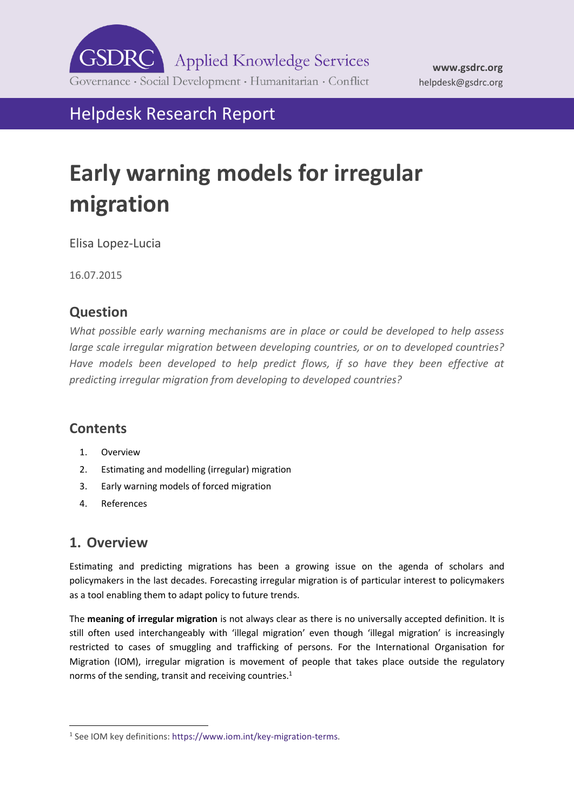

helpdesk@gsdrc.org

**[www.gsdrc.org](http://www.gsdrc.org/)**

Helpdesk Research Report

# **Early warning models for irregular migration**

Elisa Lopez-Lucia

16.07.2015

## **Question**

*What possible early warning mechanisms are in place or could be developed to help assess large scale irregular migration between developing countries, or on to developed countries?*  Have models been developed to help predict flows, if so have they been effective at *predicting irregular migration from developing to developed countries?*

### **Contents**

- 1. [Overview](#page-0-0)
- 2. [Estimating and modelling \(irregular\) migration](#page-1-0)
- 3. [Early warning models of forced migration](#page-4-0)
- 4. [References](#page-6-0)

## <span id="page-0-0"></span>**1. Overview**

-

Estimating and predicting migrations has been a growing issue on the agenda of scholars and policymakers in the last decades. Forecasting irregular migration is of particular interest to policymakers as a tool enabling them to adapt policy to future trends.

The **meaning of irregular migration** is not always clear as there is no universally accepted definition. It is still often used interchangeably with 'illegal migration' even though 'illegal migration' is increasingly restricted to cases of smuggling and trafficking of persons. For the International Organisation for Migration (IOM), irregular migration is movement of people that takes place outside the regulatory norms of the sending, transit and receiving countries.<sup>1</sup>

<sup>&</sup>lt;sup>1</sup> See IOM key definitions: https://www.iom.int/key-migration-terms.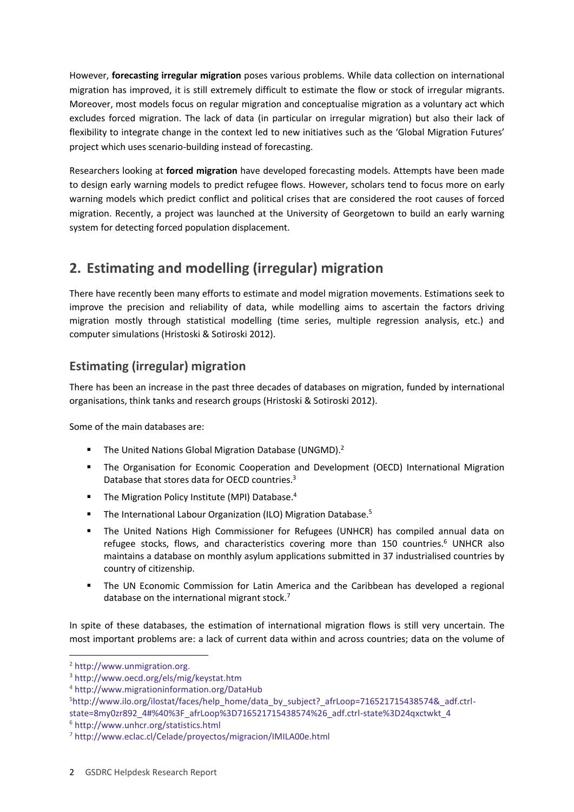However, **forecasting irregular migration** poses various problems. While data collection on international migration has improved, it is still extremely difficult to estimate the flow or stock of irregular migrants. Moreover, most models focus on regular migration and conceptualise migration as a voluntary act which excludes forced migration. The lack of data (in particular on irregular migration) but also their lack of flexibility to integrate change in the context led to new initiatives such as the 'Global Migration Futures' project which uses scenario-building instead of forecasting.

Researchers looking at **forced migration** have developed forecasting models. Attempts have been made to design early warning models to predict refugee flows. However, scholars tend to focus more on early warning models which predict conflict and political crises that are considered the root causes of forced migration. Recently, a project was launched at the University of Georgetown to build an early warning system for detecting forced population displacement.

# <span id="page-1-0"></span>**2. Estimating and modelling (irregular) migration**

There have recently been many efforts to estimate and model migration movements. Estimations seek to improve the precision and reliability of data, while modelling aims to ascertain the factors driving migration mostly through statistical modelling (time series, multiple regression analysis, etc.) and computer simulations (Hristoski & Sotiroski 2012).

## **Estimating (irregular) migration**

There has been an increase in the past three decades of databases on migration, funded by international organisations, think tanks and research groups (Hristoski & Sotiroski 2012).

Some of the main databases are:

- **The United Nations Global Migration Database (UNGMD).**<sup>2</sup>
- The Organisation for Economic Cooperation and Development (OECD) International Migration Database that stores data for OECD countries.<sup>3</sup>
- **The Migration Policy Institute (MPI) Database.**<sup>4</sup>
- **The International Labour Organization (ILO) Migration Database.**<sup>5</sup>
- The United Nations High Commissioner for Refugees (UNHCR) has compiled annual data on refugee stocks, flows, and characteristics covering more than 150 countries.<sup>6</sup> UNHCR also maintains a database on monthly asylum applications submitted in 37 industrialised countries by country of citizenship.
- The UN Economic Commission for Latin America and the Caribbean has developed a regional database on the international migrant stock.<sup>7</sup>

In spite of these databases, the estimation of international migration flows is still very uncertain. The most important problems are: a lack of current data within and across countries; data on the volume of

-

<sup>2</sup> [http://www.unmigration.org.](http://www.unmigration.org/)

<sup>3</sup> <http://www.oecd.org/els/mig/keystat.htm>

<sup>4</sup> <http://www.migrationinformation.org/DataHub>

<sup>5</sup>[http://www.ilo.org/ilostat/faces/help\\_home/data\\_by\\_subject?\\_afrLoop=716521715438574&\\_adf.ctrl](http://www.ilo.org/ilostat/faces/help_home/data_by_subject?_afrLoop=716521715438574&_adf.ctrl-state=8my0zr892_4#%40%3F_afrLoop%3D716521715438574%26_adf.ctrl-state%3D24qxctwkt_4)[state=8my0zr892\\_4#%40%3F\\_afrLoop%3D716521715438574%26\\_adf.ctrl-state%3D24qxctwkt\\_4](http://www.ilo.org/ilostat/faces/help_home/data_by_subject?_afrLoop=716521715438574&_adf.ctrl-state=8my0zr892_4#%40%3F_afrLoop%3D716521715438574%26_adf.ctrl-state%3D24qxctwkt_4)

<sup>6</sup> <http://www.unhcr.org/statistics.html>

<sup>7</sup> <http://www.eclac.cl/Celade/proyectos/migracion/IMILA00e.html>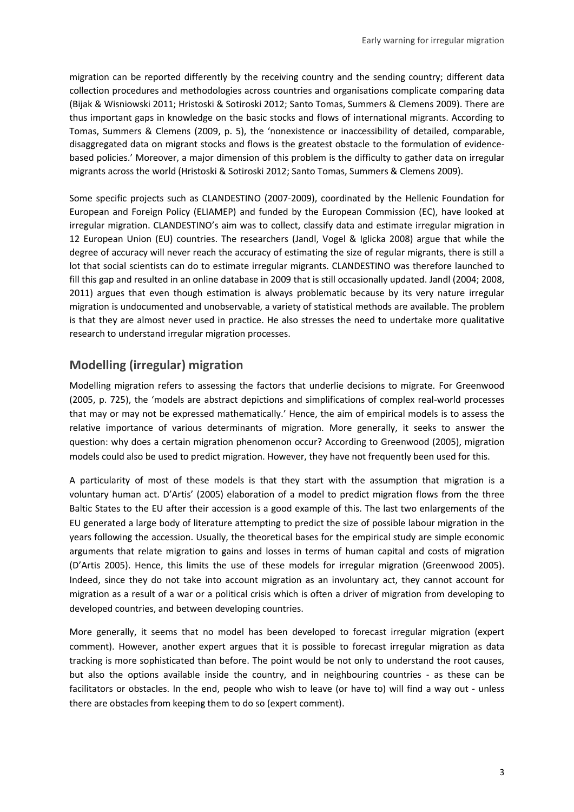migration can be reported differently by the receiving country and the sending country; different data collection procedures and methodologies across countries and organisations complicate comparing data (Bijak & Wisniowski 2011; Hristoski & Sotiroski 2012; Santo Tomas, Summers & Clemens 2009). There are thus important gaps in knowledge on the basic stocks and flows of international migrants. According to Tomas, Summers & Clemens (2009, p. 5), the 'nonexistence or inaccessibility of detailed, comparable, disaggregated data on migrant stocks and flows is the greatest obstacle to the formulation of evidencebased policies.' Moreover, a major dimension of this problem is the difficulty to gather data on irregular migrants across the world (Hristoski & Sotiroski 2012; Santo Tomas, Summers & Clemens 2009).

Some specific projects such as CLANDESTINO (2007-2009), coordinated by the Hellenic Foundation for European and Foreign Policy (ELIAMEP) and funded by the European Commission (EC), have looked at irregular migration. CLANDESTINO's aim was to collect, classify data and estimate irregular migration in 12 European Union (EU) countries. The researchers (Jandl, Vogel & Iglicka 2008) argue that while the degree of accuracy will never reach the accuracy of estimating the size of regular migrants, there is still a lot that social scientists can do to estimate irregular migrants. CLANDESTINO was therefore launched to fill this gap and resulted in an online database in 2009 that is still occasionally updated. Jandl (2004; 2008, 2011) argues that even though estimation is always problematic because by its very nature irregular migration is undocumented and unobservable, a variety of statistical methods are available. The problem is that they are almost never used in practice. He also stresses the need to undertake more qualitative research to understand irregular migration processes.

#### **Modelling (irregular) migration**

Modelling migration refers to assessing the factors that underlie decisions to migrate. For Greenwood (2005, p. 725), the 'models are abstract depictions and simplifications of complex real-world processes that may or may not be expressed mathematically.' Hence, the aim of empirical models is to assess the relative importance of various determinants of migration. More generally, it seeks to answer the question: why does a certain migration phenomenon occur? According to Greenwood (2005), migration models could also be used to predict migration. However, they have not frequently been used for this.

A particularity of most of these models is that they start with the assumption that migration is a voluntary human act. D'Artis' (2005) elaboration of a model to predict migration flows from the three Baltic States to the EU after their accession is a good example of this. The last two enlargements of the EU generated a large body of literature attempting to predict the size of possible labour migration in the years following the accession. Usually, the theoretical bases for the empirical study are simple economic arguments that relate migration to gains and losses in terms of human capital and costs of migration (D'Artis 2005). Hence, this limits the use of these models for irregular migration (Greenwood 2005). Indeed, since they do not take into account migration as an involuntary act, they cannot account for migration as a result of a war or a political crisis which is often a driver of migration from developing to developed countries, and between developing countries.

More generally, it seems that no model has been developed to forecast irregular migration (expert comment). However, another expert argues that it is possible to forecast irregular migration as data tracking is more sophisticated than before. The point would be not only to understand the root causes, but also the options available inside the country, and in neighbouring countries - as these can be facilitators or obstacles. In the end, people who wish to leave (or have to) will find a way out - unless there are obstacles from keeping them to do so (expert comment).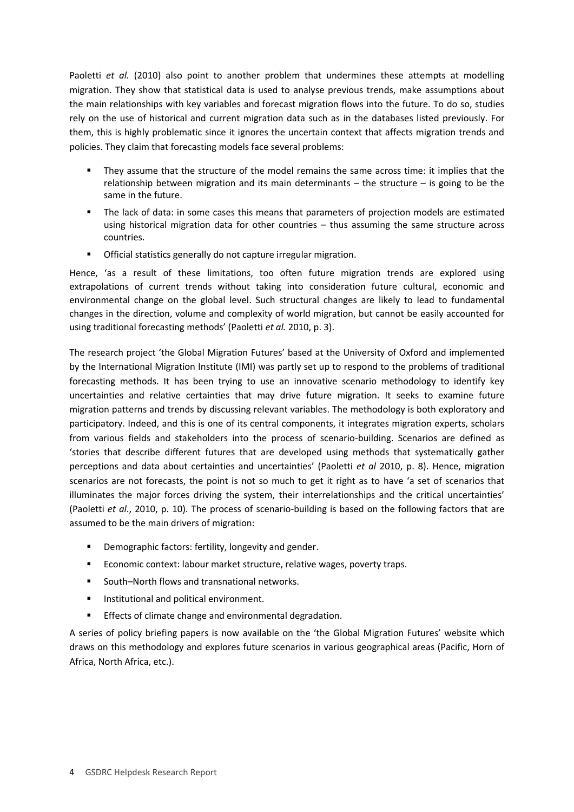Paoletti *et al.* (2010) also point to another problem that undermines these attempts at modelling migration. They show that statistical data is used to analyse previous trends, make assumptions about the main relationships with key variables and forecast migration flows into the future. To do so, studies rely on the use of historical and current migration data such as in the databases listed previously. For them, this is highly problematic since it ignores the uncertain context that affects migration trends and policies. They claim that forecasting models face several problems:

- They assume that the structure of the model remains the same across time: it implies that the relationship between migration and its main determinants – the structure – is going to be the same in the future.
- The lack of data: in some cases this means that parameters of projection models are estimated using historical migration data for other countries – thus assuming the same structure across countries.
- Official statistics generally do not capture irregular migration.

Hence, 'as a result of these limitations, too often future migration trends are explored using extrapolations of current trends without taking into consideration future cultural, economic and environmental change on the global level. Such structural changes are likely to lead to fundamental changes in the direction, volume and complexity of world migration, but cannot be easily accounted for using traditional forecasting methods' (Paoletti *et al.* 2010, p. 3).

The research project 'the Global Migration Futures' based at the University of Oxford and implemented by the International Migration Institute (IMI) was partly set up to respond to the problems of traditional forecasting methods. It has been trying to use an innovative scenario methodology to identify key uncertainties and relative certainties that may drive future migration. It seeks to examine future migration patterns and trends by discussing relevant variables. The methodology is both exploratory and participatory. Indeed, and this is one of its central components, it integrates migration experts, scholars from various fields and stakeholders into the process of scenario-building. Scenarios are defined as 'stories that describe different futures that are developed using methods that systematically gather perceptions and data about certainties and uncertainties' (Paoletti *et al* 2010, p. 8). Hence, migration scenarios are not forecasts, the point is not so much to get it right as to have 'a set of scenarios that illuminates the major forces driving the system, their interrelationships and the critical uncertainties' (Paoletti *et al*., 2010, p. 10). The process of scenario-building is based on the following factors that are assumed to be the main drivers of migration:

- Demographic factors: fertility, longevity and gender.
- **Economic context: labour market structure, relative wages, poverty traps.**
- South–North flows and transnational networks.
- **Institutional and political environment.**
- **Effects of climate change and environmental degradation.**

A series of policy briefing papers is now available on the 'the Global Migration Futures' website which draws on this methodology and explores future scenarios in various geographical areas (Pacific, Horn of Africa, North Africa, etc.).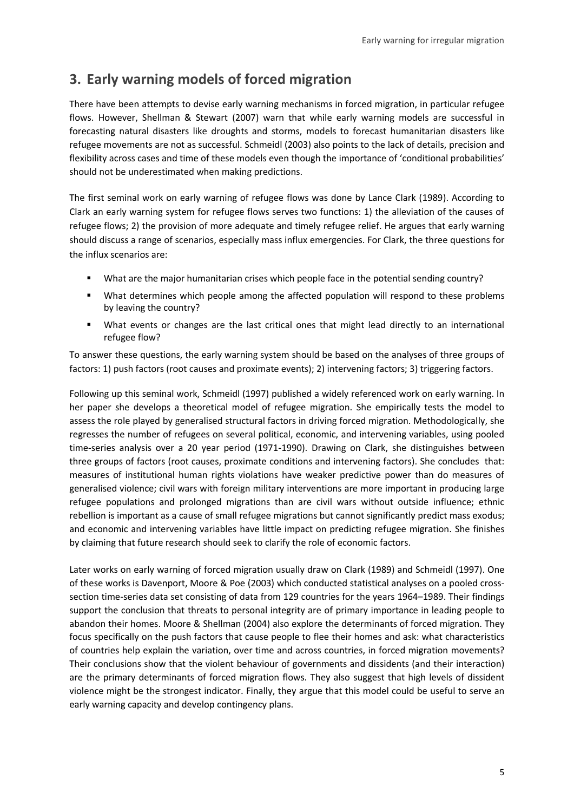## <span id="page-4-0"></span>**3. Early warning models of forced migration**

There have been attempts to devise early warning mechanisms in forced migration, in particular refugee flows. However, Shellman & Stewart (2007) warn that while early warning models are successful in forecasting natural disasters like droughts and storms, models to forecast humanitarian disasters like refugee movements are not as successful. Schmeidl (2003) also points to the lack of details, precision and flexibility across cases and time of these models even though the importance of 'conditional probabilities' should not be underestimated when making predictions.

The first seminal work on early warning of refugee flows was done by Lance Clark (1989). According to Clark an early warning system for refugee flows serves two functions: 1) the alleviation of the causes of refugee flows; 2) the provision of more adequate and timely refugee relief. He argues that early warning should discuss a range of scenarios, especially mass influx emergencies. For Clark, the three questions for the influx scenarios are:

- What are the major humanitarian crises which people face in the potential sending country?
- What determines which people among the affected population will respond to these problems by leaving the country?
- What events or changes are the last critical ones that might lead directly to an international refugee flow?

To answer these questions, the early warning system should be based on the analyses of three groups of factors: 1) push factors (root causes and proximate events); 2) intervening factors; 3) triggering factors.

Following up this seminal work, Schmeidl (1997) published a widely referenced work on early warning. In her paper she develops a theoretical model of refugee migration. She empirically tests the model to assess the role played by generalised structural factors in driving forced migration. Methodologically, she regresses the number of refugees on several political, economic, and intervening variables, using pooled time-series analysis over a 20 year period (1971-1990). Drawing on Clark, she distinguishes between three groups of factors (root causes, proximate conditions and intervening factors). She concludes that: measures of institutional human rights violations have weaker predictive power than do measures of generalised violence; civil wars with foreign military interventions are more important in producing large refugee populations and prolonged migrations than are civil wars without outside influence; ethnic rebellion is important as a cause of small refugee migrations but cannot significantly predict mass exodus; and economic and intervening variables have little impact on predicting refugee migration. She finishes by claiming that future research should seek to clarify the role of economic factors.

Later works on early warning of forced migration usually draw on Clark (1989) and Schmeidl (1997). One of these works is Davenport, Moore & Poe (2003) which conducted statistical analyses on a pooled crosssection time-series data set consisting of data from 129 countries for the years 1964–1989. Their findings support the conclusion that threats to personal integrity are of primary importance in leading people to abandon their homes. Moore & Shellman (2004) also explore the determinants of forced migration. They focus specifically on the push factors that cause people to flee their homes and ask: what characteristics of countries help explain the variation, over time and across countries, in forced migration movements? Their conclusions show that the violent behaviour of governments and dissidents (and their interaction) are the primary determinants of forced migration flows. They also suggest that high levels of dissident violence might be the strongest indicator. Finally, they argue that this model could be useful to serve an early warning capacity and develop contingency plans.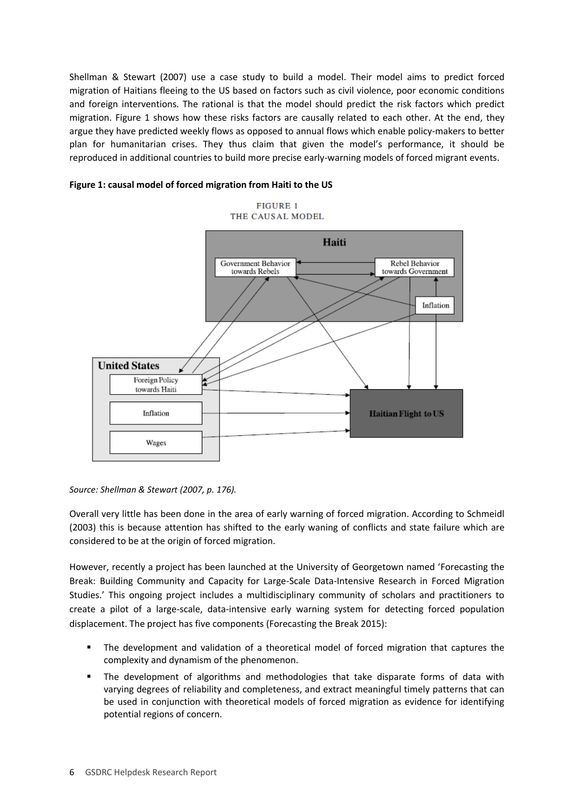Shellman & Stewart (2007) use a case study to build a model. Their model aims to predict forced migration of Haitians fleeing to the US based on factors such as civil violence, poor economic conditions and foreign interventions. The rational is that the model should predict the risk factors which predict migration. Figure 1 shows how these risks factors are causally related to each other. At the end, they argue they have predicted weekly flows as opposed to annual flows which enable policy-makers to better plan for humanitarian crises. They thus claim that given the model's performance, it should be reproduced in additional countries to build more precise early-warning models of forced migrant events.

#### **Figure 1: causal model of forced migration from Haiti to the US**

**FIGURE 1** THE CAUSAL MODEL



*Source: Shellman & Stewart (2007, p. 176).*

Overall very little has been done in the area of early warning of forced migration. According to Schmeidl (2003) this is because attention has shifted to the early waning of conflicts and state failure which are considered to be at the origin of forced migration.

However, recently a project has been launched at the University of Georgetown named 'Forecasting the Break: Building Community and Capacity for Large-Scale Data-Intensive Research in Forced Migration Studies.' This ongoing project includes a multidisciplinary community of scholars and practitioners to create a pilot of a large-scale, data-intensive early warning system for detecting forced population displacement. The project has five components (Forecasting the Break 2015):

- The development and validation of a theoretical model of forced migration that captures the complexity and dynamism of the phenomenon.
- The development of algorithms and methodologies that take disparate forms of data with varying degrees of reliability and completeness, and extract meaningful timely patterns that can be used in conjunction with theoretical models of forced migration as evidence for identifying potential regions of concern.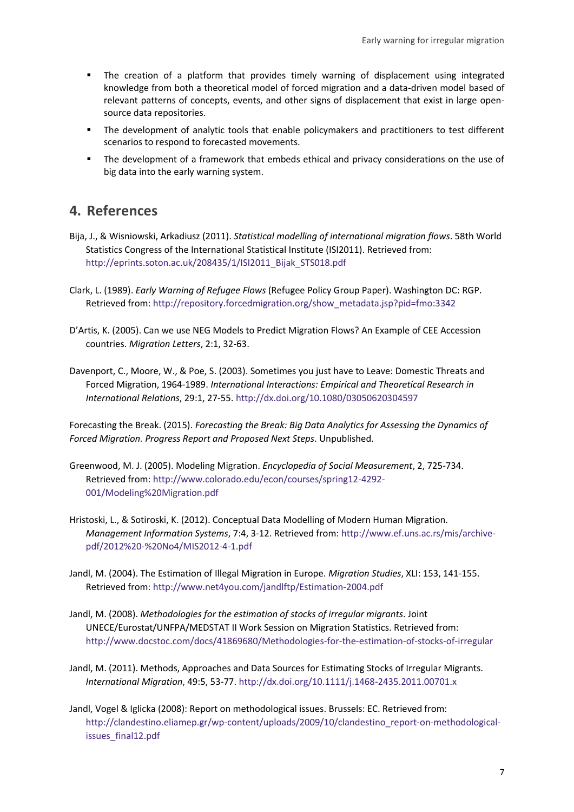- The creation of a platform that provides timely warning of displacement using integrated knowledge from both a theoretical model of forced migration and a data-driven model based of relevant patterns of concepts, events, and other signs of displacement that exist in large opensource data repositories.
- **The development of analytic tools that enable policymakers and practitioners to test different** scenarios to respond to forecasted movements.
- The development of a framework that embeds ethical and privacy considerations on the use of big data into the early warning system.

### <span id="page-6-0"></span>**4. References**

Bija, J., & Wisniowski, Arkadiusz (2011). *Statistical modelling of international migration flows*. 58th World Statistics Congress of the International Statistical Institute (ISI2011). Retrieved from: [http://eprints.soton.ac.uk/208435/1/ISI2011\\_Bijak\\_STS018.pdf](http://eprints.soton.ac.uk/208435/1/ISI2011_Bijak_STS018.pdf)

- Clark, L. (1989). *Early Warning of Refugee Flows* (Refugee Policy Group Paper). Washington DC: RGP. Retrieved from[: http://repository.forcedmigration.org/show\\_metadata.jsp?pid=fmo:3342](http://repository.forcedmigration.org/show_metadata.jsp?pid=fmo:3342)
- D'Artis, K. (2005). Can we use NEG Models to Predict Migration Flows? An Example of CEE Accession countries. *Migration Letters*, 2:1, 32-63.
- Davenport, C., Moore, W., & Poe, S. (2003). Sometimes you just have to Leave: Domestic Threats and Forced Migration, 1964-1989. *International Interactions: Empirical and Theoretical Research in International Relations*, 29:1, 27-55[. http://dx.doi.org/10.1080/03050620304597](http://dx.doi.org/10.1080/03050620304597)

Forecasting the Break. (2015). *Forecasting the Break: Big Data Analytics for Assessing the Dynamics of Forced Migration. Progress Report and Proposed Next Steps*. Unpublished.

- Greenwood, M. J. (2005). Modeling Migration. *Encyclopedia of Social Measurement*, 2, 725-734. Retrieved from[: http://www.colorado.edu/econ/courses/spring12-4292-](http://www.colorado.edu/econ/courses/spring12-4292-001/Modeling%20Migration.pdf) [001/Modeling%20Migration.pdf](http://www.colorado.edu/econ/courses/spring12-4292-001/Modeling%20Migration.pdf)
- Hristoski, L., & Sotiroski, K. (2012). Conceptual Data Modelling of Modern Human Migration. *Management Information Systems*, 7:4, 3-12. Retrieved from: [http://www.ef.uns.ac.rs/mis/archive](http://www.ef.uns.ac.rs/mis/archive-pdf/2012%20-%20No4/MIS2012-4-1.pdf)[pdf/2012%20-%20No4/MIS2012-4-1.pdf](http://www.ef.uns.ac.rs/mis/archive-pdf/2012%20-%20No4/MIS2012-4-1.pdf)
- Jandl, M. (2004). The Estimation of Illegal Migration in Europe. *Migration Studies*, XLI: 153, 141-155. Retrieved from[: http://www.net4you.com/jandlftp/Estimation-2004.pdf](http://www.net4you.com/jandlftp/Estimation-2004.pdf)
- Jandl, M. (2008). *Methodologies for the estimation of stocks of irregular migrants*. Joint UNECE/Eurostat/UNFPA/MEDSTAT II Work Session on Migration Statistics. Retrieved from: <http://www.docstoc.com/docs/41869680/Methodologies-for-the-estimation-of-stocks-of-irregular>
- Jandl, M. (2011). Methods, Approaches and Data Sources for Estimating Stocks of Irregular Migrants. *International Migration*, 49:5, 53-77[. http://dx.doi.org/10.1111/j.1468-2435.2011.00701.x](http://dx.doi.org/10.1111/j.1468-2435.2011.00701.x)
- Jandl, Vogel & Iglicka (2008): Report on methodological issues. Brussels: EC. Retrieved from: [http://clandestino.eliamep.gr/wp-content/uploads/2009/10/clandestino\\_report-on-methodological](http://clandestino.eliamep.gr/wp-content/uploads/2009/10/clandestino_report-on-methodological-issues_final12.pdf)[issues\\_final12.pdf](http://clandestino.eliamep.gr/wp-content/uploads/2009/10/clandestino_report-on-methodological-issues_final12.pdf)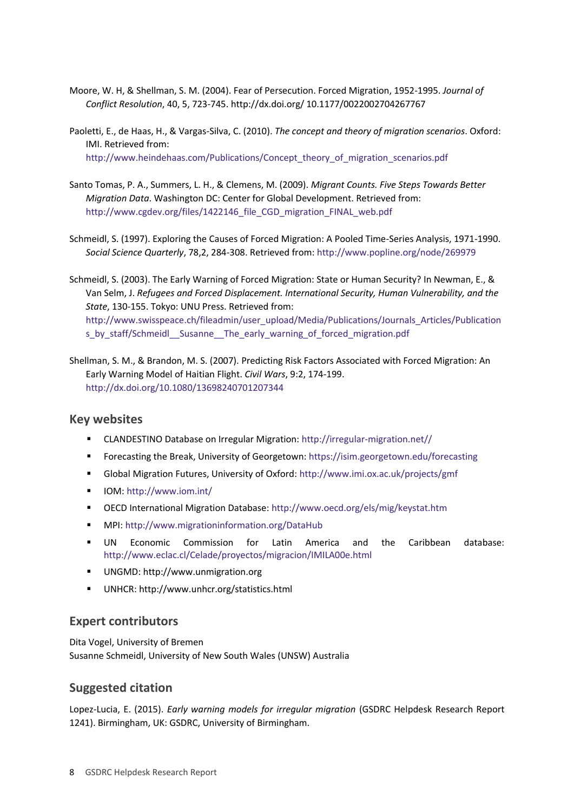- Moore, W. H, & Shellman, S. M. (2004). Fear of Persecution. Forced Migration, 1952-1995. *Journal of Conflict Resolution*, 40, 5, 723-745. http://dx.doi.org/ 10.1177/0022002704267767
- Paoletti, E., de Haas, H., & Vargas-Silva, C. (2010). *The concept and theory of migration scenarios*. Oxford: IMI. Retrieved from: [http://www.heindehaas.com/Publications/Concept\\_theory\\_of\\_migration\\_scenarios.pdf](http://www.heindehaas.com/Publications/Concept_theory_of_migration_scenarios.pdf)
- Santo Tomas, P. A., Summers, L. H., & Clemens, M. (2009). *Migrant Counts. Five Steps Towards Better Migration Data*. Washington DC: Center for Global Development. Retrieved from: [http://www.cgdev.org/files/1422146\\_file\\_CGD\\_migration\\_FINAL\\_web.pdf](http://www.cgdev.org/files/1422146_file_CGD_migration_FINAL_web.pdf)
- Schmeidl, S. (1997). Exploring the Causes of Forced Migration: A Pooled Time-Series Analysis, 1971-1990. *Social Science Quarterly*, 78,2, 284-308. Retrieved from[: http://www.popline.org/node/269979](http://www.popline.org/node/269979)

Schmeidl, S. (2003). The Early Warning of Forced Migration: State or Human Security? In Newman, E., & Van Selm, J. *Refugees and Forced Displacement. International Security, Human Vulnerability, and the State*, 130-155. Tokyo: UNU Press. Retrieved from: [http://www.swisspeace.ch/fileadmin/user\\_upload/Media/Publications/Journals\\_Articles/Publication](http://www.swisspeace.ch/fileadmin/user_upload/Media/Publications/Journals_Articles/Publications_by_staff/Schmeidl__Susanne__The_early_warning_of_forced_migration.pdf) s by staff/Schmeidl Susanne The early warning of forced migration.pdf

Shellman, S. M., & Brandon, M. S. (2007). Predicting Risk Factors Associated with Forced Migration: An Early Warning Model of Haitian Flight. *Civil Wars*, 9:2, 174-199. <http://dx.doi.org/10.1080/13698240701207344>

#### **Key websites**

- CLANDESTINO Database on Irregular Migration: [http://irregular-migration.net//](http://irregular-migration.net/)
- Forecasting the Break, University of Georgetown[: https://isim.georgetown.edu/forecasting](https://isim.georgetown.edu/forecasting)
- Global Migration Futures, University of Oxford[: http://www.imi.ox.ac.uk/projects/gmf](http://www.imi.ox.ac.uk/projects/gmf)
- IOM[: http://www.iom.int/](http://www.iom.int/)
- OECD International Migration Database[: http://www.oecd.org/els/mig/keystat.htm](http://www.oecd.org/els/mig/keystat.htm)
- MPI:<http://www.migrationinformation.org/DataHub>
- UN Economic Commission for Latin America and the Caribbean database: <http://www.eclac.cl/Celade/proyectos/migracion/IMILA00e.html>
- UNGMD: http://www.unmigration.org
- UNHCR: http://www.unhcr.org/statistics.html

#### **Expert contributors**

Dita Vogel, University of Bremen Susanne Schmeidl, University of New South Wales (UNSW) Australia

#### **Suggested citation**

Lopez-Lucia, E. (2015). *Early warning models for irregular migration* (GSDRC Helpdesk Research Report 1241). Birmingham, UK: GSDRC, University of Birmingham.